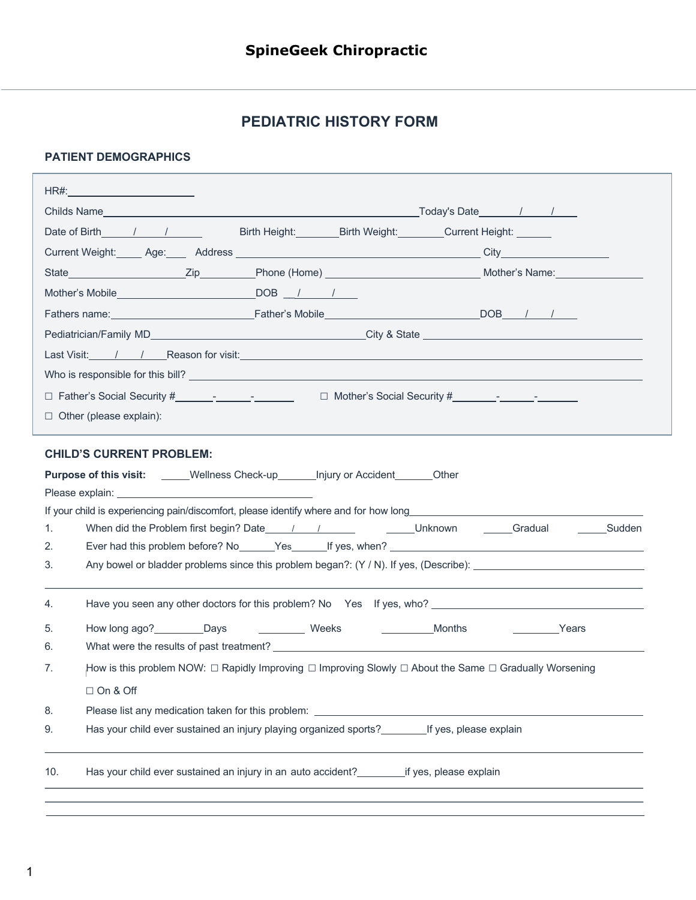## **PEDIATRIC HISTORY FORM**

## **PATIENT DEMOGRAPHICS**

| HR#: ___________________________                                                                                                                                                                                                               |                                                                                                                                                                                                                                                                                                                                                                                |
|------------------------------------------------------------------------------------------------------------------------------------------------------------------------------------------------------------------------------------------------|--------------------------------------------------------------------------------------------------------------------------------------------------------------------------------------------------------------------------------------------------------------------------------------------------------------------------------------------------------------------------------|
|                                                                                                                                                                                                                                                | Childs Name <u> Childs Name  Letter and the set of the set of the set of the set of the set of the set of the set of the set of the set of the set of the set of the set of the set of the set of the set of the set of the set </u>                                                                                                                                           |
|                                                                                                                                                                                                                                                | Birth Height: Birth Weight: Current Height: Current Election                                                                                                                                                                                                                                                                                                                   |
|                                                                                                                                                                                                                                                |                                                                                                                                                                                                                                                                                                                                                                                |
|                                                                                                                                                                                                                                                | State <b>Mother's Name</b><br><b>State <u>Connective</u></b> City <sub>Clear</sub> City <sub>Clear</sub> City <sub>Clear</sub> City <sub>Clear</sub> City <sub>Clear</sub> City <sub>Clear</sub> City <sub>Clear</sub> City <sub>Clear</sub> City <sub>Clear</sub> City <sub>Clear</sub> City <sub>Clear</sub> City <sub>Clear</sub> City <sub>Clear</sub> City <sub>Cle</sub> |
|                                                                                                                                                                                                                                                |                                                                                                                                                                                                                                                                                                                                                                                |
|                                                                                                                                                                                                                                                |                                                                                                                                                                                                                                                                                                                                                                                |
|                                                                                                                                                                                                                                                |                                                                                                                                                                                                                                                                                                                                                                                |
|                                                                                                                                                                                                                                                | Last Visit: / / Reason for visit: Network of Alberta Contractor Contractor Contractor Contractor Contractor Contractor Contractor Contractor Contractor Contractor Contractor Contractor Contractor Contractor Contractor Cont                                                                                                                                                 |
|                                                                                                                                                                                                                                                |                                                                                                                                                                                                                                                                                                                                                                                |
|                                                                                                                                                                                                                                                |                                                                                                                                                                                                                                                                                                                                                                                |
| $\Box$ Other (please explain):                                                                                                                                                                                                                 |                                                                                                                                                                                                                                                                                                                                                                                |
| <b>CHILD'S CURRENT PROBLEM:</b><br><b>Purpose of this visit:</b> _____Wellness Check-up_______ Injury or Accident_______Other                                                                                                                  |                                                                                                                                                                                                                                                                                                                                                                                |
|                                                                                                                                                                                                                                                |                                                                                                                                                                                                                                                                                                                                                                                |
| 1.                                                                                                                                                                                                                                             |                                                                                                                                                                                                                                                                                                                                                                                |
| 2.                                                                                                                                                                                                                                             |                                                                                                                                                                                                                                                                                                                                                                                |
| 3.                                                                                                                                                                                                                                             |                                                                                                                                                                                                                                                                                                                                                                                |
|                                                                                                                                                                                                                                                |                                                                                                                                                                                                                                                                                                                                                                                |
| 4.                                                                                                                                                                                                                                             |                                                                                                                                                                                                                                                                                                                                                                                |
| How long ago? <b>Configuration</b> Days <b>Configuration</b> Configuration Configuration Configuration Configuration Configuration Configuration  Configuration  Configuration  Configuration  Configuration  Configuration  Configurati<br>5. | Months<br><b>Example 2</b> Years                                                                                                                                                                                                                                                                                                                                               |
| 6.                                                                                                                                                                                                                                             |                                                                                                                                                                                                                                                                                                                                                                                |
| 7.                                                                                                                                                                                                                                             | How is this problem NOW: $\Box$ Rapidly Improving $\Box$ Improving Slowly $\Box$ About the Same $\Box$ Gradually Worsening                                                                                                                                                                                                                                                     |
| □ On & Off                                                                                                                                                                                                                                     |                                                                                                                                                                                                                                                                                                                                                                                |
| 8.<br>Please list any medication taken for this problem:                                                                                                                                                                                       | <u> 1980 - Andrea Stadt Britain, amerikansk politik (d. 1980)</u>                                                                                                                                                                                                                                                                                                              |
| 9.                                                                                                                                                                                                                                             | Has your child ever sustained an injury playing organized sports?<br>If yes, please explain                                                                                                                                                                                                                                                                                    |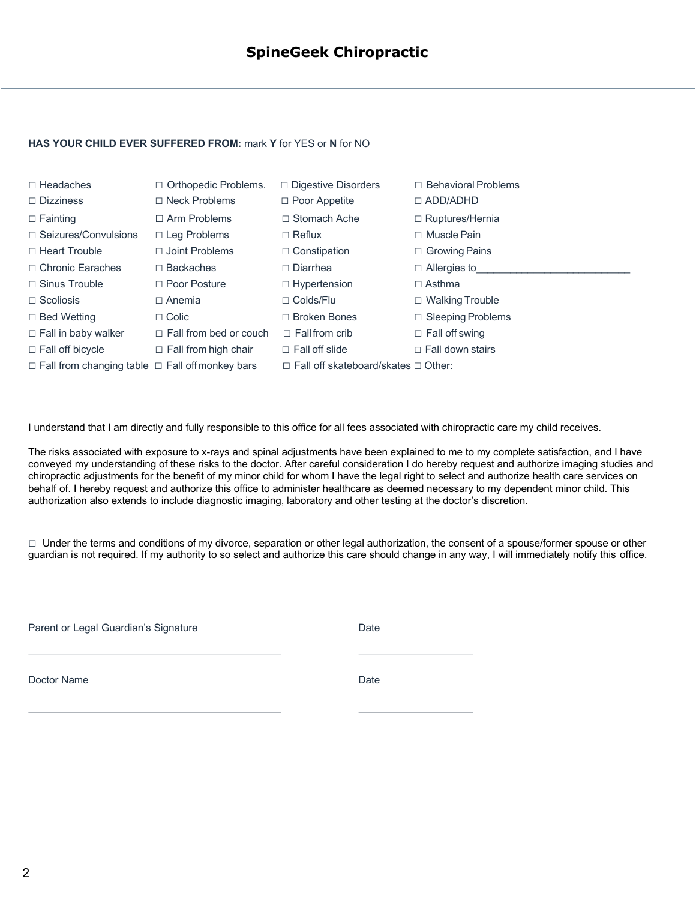## **HAS YOUR CHILD EVER SUFFERED FROM:** mark **Y** for YES or **N** for NO

| $\Box$ Headaches<br>$\Box$ Dizziness                       | $\Box$ Orthopedic Problems.<br>$\Box$ Neck Problems | $\Box$ Digestive Disorders<br>$\Box$ Poor Appetite | $\Box$ Behavioral Problems<br>$\Box$ ADD/ADHD |
|------------------------------------------------------------|-----------------------------------------------------|----------------------------------------------------|-----------------------------------------------|
| $\Box$ Fainting                                            | $\Box$ Arm Problems                                 | $\Box$ Stomach Ache                                | $\Box$ Ruptures/Hernia                        |
| $\Box$ Seizures/Convulsions                                | $\Box$ Leg Problems                                 | $\Box$ Reflux                                      | $\Box$ Muscle Pain                            |
| $\Box$ Heart Trouble                                       | $\Box$ Joint Problems                               | $\Box$ Constipation                                | $\Box$ Growing Pains                          |
| □ Chronic Earaches                                         | $\Box$ Backaches                                    | $\Box$ Diarrhea                                    | $\Box$ Allergies to                           |
| $\Box$ Sinus Trouble                                       | $\Box$ Poor Posture                                 | $\Box$ Hypertension                                | $\Box$ Asthma                                 |
| $\Box$ Scoliosis                                           | $\Box$ Anemia                                       | $\Box$ Colds/Flu                                   | $\Box$ Walking Trouble                        |
| $\Box$ Bed Wetting                                         | $\Box$ Colic                                        | $\Box$ Broken Bones                                | $\Box$ Sleeping Problems                      |
| $\Box$ Fall in baby walker                                 | $\Box$ Fall from bed or couch                       | $\Box$ Fall from crib                              | $\Box$ Fall off swing                         |
| $\Box$ Fall off bicycle                                    | $\Box$ Fall from high chair                         | $\Box$ Fall off slide                              | $\Box$ Fall down stairs                       |
| $\Box$ Fall from changing table $\Box$ Fall offmonkey bars |                                                     | $\Box$ Fall off skateboard/skates $\Box$ Other:    |                                               |

I understand that I am directly and fully responsible to this office for all fees associated with chiropractic care my child receives.

The risks associated with exposure to x-rays and spinal adjustments have been explained to me to my complete satisfaction, and I have conveyed my understanding of these risks to the doctor. After careful consideration I do hereby request and authorize imaging studies and chiropractic adjustments for the benefit of my minor child for whom I have the legal right to select and authorize health care services on behalf of. I hereby request and authorize this office to administer healthcare as deemed necessary to my dependent minor child. This authorization also extends to include diagnostic imaging, laboratory and other testing at the doctor's discretion.

□ Under the terms and conditions of my divorce, separation or other legal authorization, the consent of a spouse/former spouse or other guardian is not required. If my authority to so select and authorize this care should change in any way, I will immediately notify this office.

Parent or Legal Guardian's Signature **Date** Date

Doctor Name Date **Date**